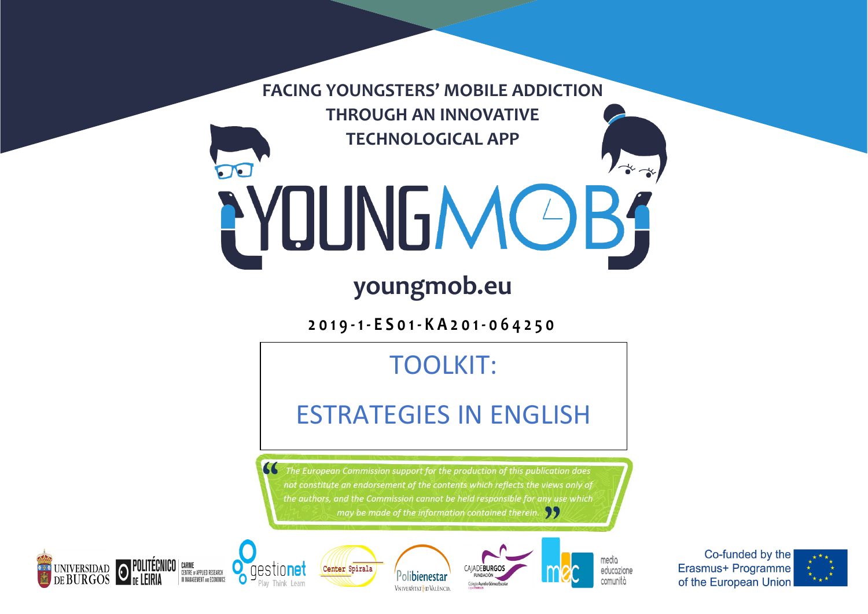**FACING YOUNGSTERS' MOBILE ADDICTION THROUGH AN INNOVATIVE TECHNOLOGICAL APP**

# PYOUNGMOBS

## **youngmob.eu**

**2019 - 1 - ES01 - KA201 - 064250**

## TOOLKIT:

## ESTRATEGIES IN ENGLISH

The European Commission support for the production of this publication does not constitute an endorsement of the contents which reflects the views only of the authors, and the Commission cannot be held responsible for any use which may be made of the information contained therein.





 $\epsilon$ 







media educozione comunità

Co-funded by the Erasmus+ Programme of the European Union

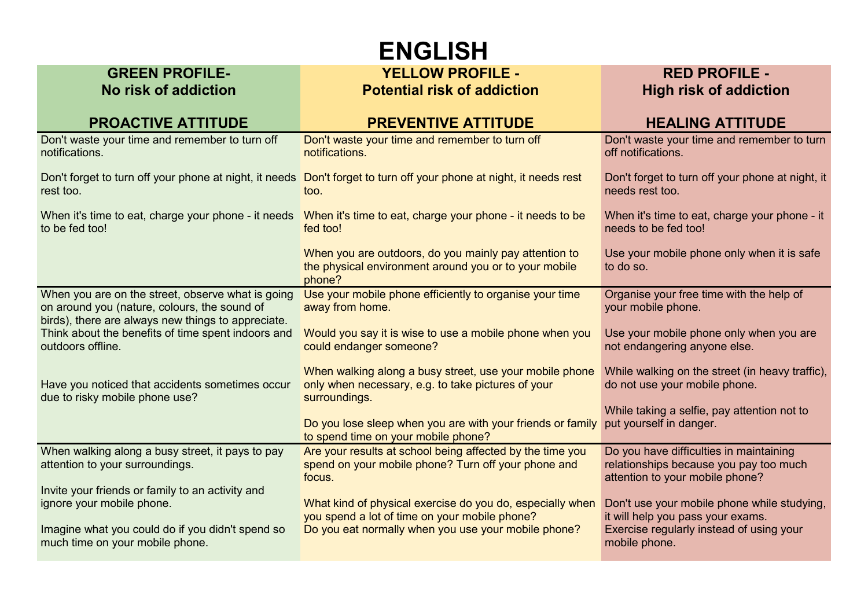# **ENGLISH**

#### **GREEN PROFILE-No risk of addiction**

#### **YELLOW PROFILE - Potential risk of addiction**

### **RED PROFILE - High risk of addiction**

| <b>PROACTIVE ATTITUDE</b>                                                                                                                               | <b>PREVENTIVE ATTITUDE</b>                                                                                                     | <b>HEALING ATTITUDE</b>                                                                                              |
|---------------------------------------------------------------------------------------------------------------------------------------------------------|--------------------------------------------------------------------------------------------------------------------------------|----------------------------------------------------------------------------------------------------------------------|
| Don't waste your time and remember to turn off<br>notifications.                                                                                        | Don't waste your time and remember to turn off<br>notifications.                                                               | Don't waste your time and remember to turn<br>off notifications.                                                     |
| rest too.                                                                                                                                               | Don't forget to turn off your phone at night, it needs Don't forget to turn off your phone at night, it needs rest<br>too.     | Don't forget to turn off your phone at night, it<br>needs rest too.                                                  |
| When it's time to eat, charge your phone - it needs<br>to be fed too!                                                                                   | When it's time to eat, charge your phone - it needs to be<br>fed too!                                                          | When it's time to eat, charge your phone - it<br>needs to be fed too!                                                |
|                                                                                                                                                         | When you are outdoors, do you mainly pay attention to<br>the physical environment around you or to your mobile<br>phone?       | Use your mobile phone only when it is safe<br>to do so.                                                              |
| When you are on the street, observe what is going<br>on around you (nature, colours, the sound of<br>birds), there are always new things to appreciate. | Use your mobile phone efficiently to organise your time<br>away from home.                                                     | Organise your free time with the help of<br>your mobile phone.                                                       |
| Think about the benefits of time spent indoors and<br>outdoors offline.                                                                                 | Would you say it is wise to use a mobile phone when you<br>could endanger someone?                                             | Use your mobile phone only when you are<br>not endangering anyone else.                                              |
| Have you noticed that accidents sometimes occur<br>due to risky mobile phone use?                                                                       | When walking along a busy street, use your mobile phone<br>only when necessary, e.g. to take pictures of your<br>surroundings. | While walking on the street (in heavy traffic),<br>do not use your mobile phone.                                     |
|                                                                                                                                                         | Do you lose sleep when you are with your friends or family<br>to spend time on your mobile phone?                              | While taking a selfie, pay attention not to<br>put yourself in danger.                                               |
| When walking along a busy street, it pays to pay<br>attention to your surroundings.                                                                     | Are your results at school being affected by the time you<br>spend on your mobile phone? Turn off your phone and<br>focus.     | Do you have difficulties in maintaining<br>relationships because you pay too much<br>attention to your mobile phone? |
| Invite your friends or family to an activity and<br>ignore your mobile phone.                                                                           | What kind of physical exercise do you do, especially when<br>you spend a lot of time on your mobile phone?                     | Don't use your mobile phone while studying,<br>it will help you pass your exams.                                     |
| Imagine what you could do if you didn't spend so<br>much time on your mobile phone.                                                                     | Do you eat normally when you use your mobile phone?                                                                            | Exercise regularly instead of using your<br>mobile phone.                                                            |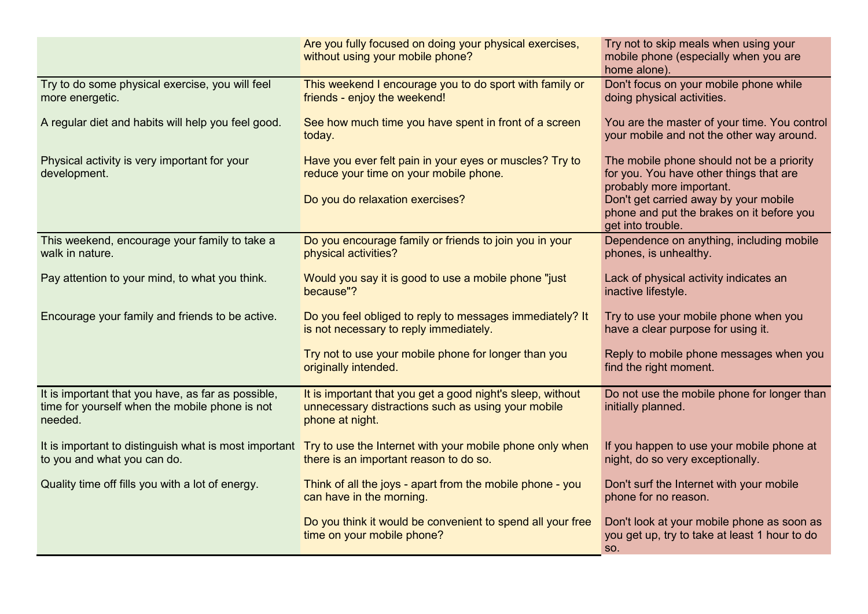|                                                                                                                 | Are you fully focused on doing your physical exercises,<br>without using your mobile phone?                                                              | Try not to skip meals when using your<br>mobile phone (especially when you are<br>home alone).                                                                                                                              |
|-----------------------------------------------------------------------------------------------------------------|----------------------------------------------------------------------------------------------------------------------------------------------------------|-----------------------------------------------------------------------------------------------------------------------------------------------------------------------------------------------------------------------------|
| Try to do some physical exercise, you will feel<br>more energetic.                                              | This weekend I encourage you to do sport with family or<br>friends - enjoy the weekend!                                                                  | Don't focus on your mobile phone while<br>doing physical activities.                                                                                                                                                        |
| A regular diet and habits will help you feel good.                                                              | See how much time you have spent in front of a screen<br>today.                                                                                          | You are the master of your time. You control<br>your mobile and not the other way around.                                                                                                                                   |
| Physical activity is very important for your<br>development.                                                    | Have you ever felt pain in your eyes or muscles? Try to<br>reduce your time on your mobile phone.<br>Do you do relaxation exercises?                     | The mobile phone should not be a priority<br>for you. You have other things that are<br>probably more important.<br>Don't get carried away by your mobile<br>phone and put the brakes on it before you<br>get into trouble. |
| This weekend, encourage your family to take a<br>walk in nature.                                                | Do you encourage family or friends to join you in your<br>physical activities?                                                                           | Dependence on anything, including mobile<br>phones, is unhealthy.                                                                                                                                                           |
| Pay attention to your mind, to what you think.                                                                  | Would you say it is good to use a mobile phone "just"<br>because"?                                                                                       | Lack of physical activity indicates an<br>inactive lifestyle.                                                                                                                                                               |
| Encourage your family and friends to be active.                                                                 | Do you feel obliged to reply to messages immediately? It<br>is not necessary to reply immediately.                                                       | Try to use your mobile phone when you<br>have a clear purpose for using it.                                                                                                                                                 |
|                                                                                                                 | Try not to use your mobile phone for longer than you<br>originally intended.                                                                             | Reply to mobile phone messages when you<br>find the right moment.                                                                                                                                                           |
| It is important that you have, as far as possible,<br>time for yourself when the mobile phone is not<br>needed. | It is important that you get a good night's sleep, without<br>unnecessary distractions such as using your mobile<br>phone at night.                      | Do not use the mobile phone for longer than<br>initially planned.                                                                                                                                                           |
| to you and what you can do.                                                                                     | It is important to distinguish what is most important Try to use the Internet with your mobile phone only when<br>there is an important reason to do so. | If you happen to use your mobile phone at<br>night, do so very exceptionally.                                                                                                                                               |
| Quality time off fills you with a lot of energy.                                                                | Think of all the joys - apart from the mobile phone - you<br>can have in the morning.                                                                    | Don't surf the Internet with your mobile<br>phone for no reason.                                                                                                                                                            |
|                                                                                                                 | Do you think it would be convenient to spend all your free<br>time on your mobile phone?                                                                 | Don't look at your mobile phone as soon as<br>you get up, try to take at least 1 hour to do<br>SO.                                                                                                                          |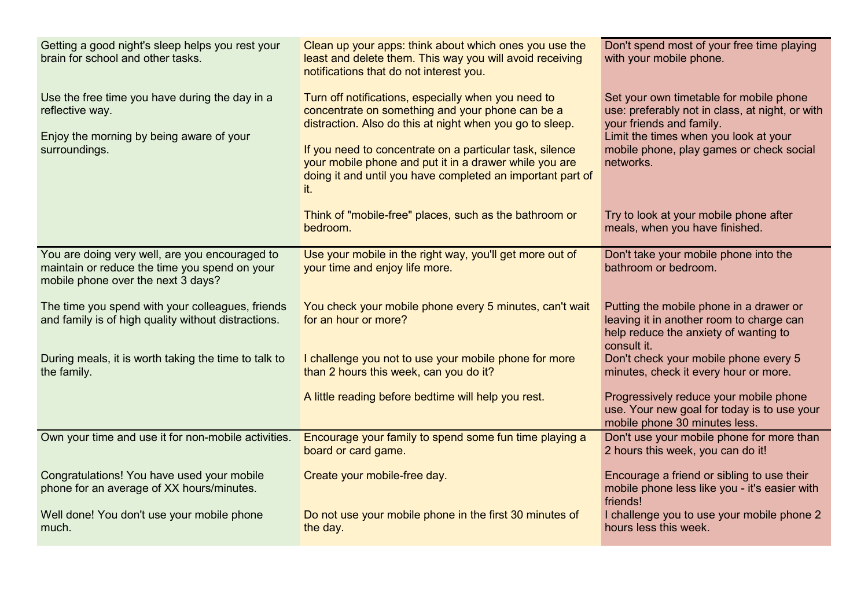| Getting a good night's sleep helps you rest your<br>brain for school and other tasks.                                                 | Clean up your apps: think about which ones you use the<br>least and delete them. This way you will avoid receiving<br>notifications that do not interest you.                                                                                                                                                                                                  | Don't spend most of your free time playing<br>with your mobile phone.                                                                                                                                                    |
|---------------------------------------------------------------------------------------------------------------------------------------|----------------------------------------------------------------------------------------------------------------------------------------------------------------------------------------------------------------------------------------------------------------------------------------------------------------------------------------------------------------|--------------------------------------------------------------------------------------------------------------------------------------------------------------------------------------------------------------------------|
| Use the free time you have during the day in a<br>reflective way.<br>Enjoy the morning by being aware of your<br>surroundings.        | Turn off notifications, especially when you need to<br>concentrate on something and your phone can be a<br>distraction. Also do this at night when you go to sleep.<br>If you need to concentrate on a particular task, silence<br>your mobile phone and put it in a drawer while you are<br>doing it and until you have completed an important part of<br>it. | Set your own timetable for mobile phone<br>use: preferably not in class, at night, or with<br>your friends and family.<br>Limit the times when you look at your<br>mobile phone, play games or check social<br>networks. |
|                                                                                                                                       | Think of "mobile-free" places, such as the bathroom or<br>bedroom.                                                                                                                                                                                                                                                                                             | Try to look at your mobile phone after<br>meals, when you have finished.                                                                                                                                                 |
| You are doing very well, are you encouraged to<br>maintain or reduce the time you spend on your<br>mobile phone over the next 3 days? | Use your mobile in the right way, you'll get more out of<br>your time and enjoy life more.                                                                                                                                                                                                                                                                     | Don't take your mobile phone into the<br>bathroom or bedroom.                                                                                                                                                            |
| The time you spend with your colleagues, friends<br>and family is of high quality without distractions.                               | You check your mobile phone every 5 minutes, can't wait<br>for an hour or more?                                                                                                                                                                                                                                                                                | Putting the mobile phone in a drawer or<br>leaving it in another room to charge can<br>help reduce the anxiety of wanting to<br>consult it.                                                                              |
| During meals, it is worth taking the time to talk to<br>the family.                                                                   | I challenge you not to use your mobile phone for more<br>than 2 hours this week, can you do it?                                                                                                                                                                                                                                                                | Don't check your mobile phone every 5<br>minutes, check it every hour or more.                                                                                                                                           |
|                                                                                                                                       | A little reading before bedtime will help you rest.                                                                                                                                                                                                                                                                                                            | Progressively reduce your mobile phone<br>use. Your new goal for today is to use your<br>mobile phone 30 minutes less.                                                                                                   |
| Own your time and use it for non-mobile activities.                                                                                   | Encourage your family to spend some fun time playing a<br>board or card game.                                                                                                                                                                                                                                                                                  | Don't use your mobile phone for more than<br>2 hours this week, you can do it!                                                                                                                                           |
| Congratulations! You have used your mobile<br>phone for an average of XX hours/minutes.                                               | Create your mobile-free day.                                                                                                                                                                                                                                                                                                                                   | Encourage a friend or sibling to use their<br>mobile phone less like you - it's easier with<br>friends!                                                                                                                  |
| Well done! You don't use your mobile phone<br>much.                                                                                   | Do not use your mobile phone in the first 30 minutes of<br>the day.                                                                                                                                                                                                                                                                                            | I challenge you to use your mobile phone 2<br>hours less this week.                                                                                                                                                      |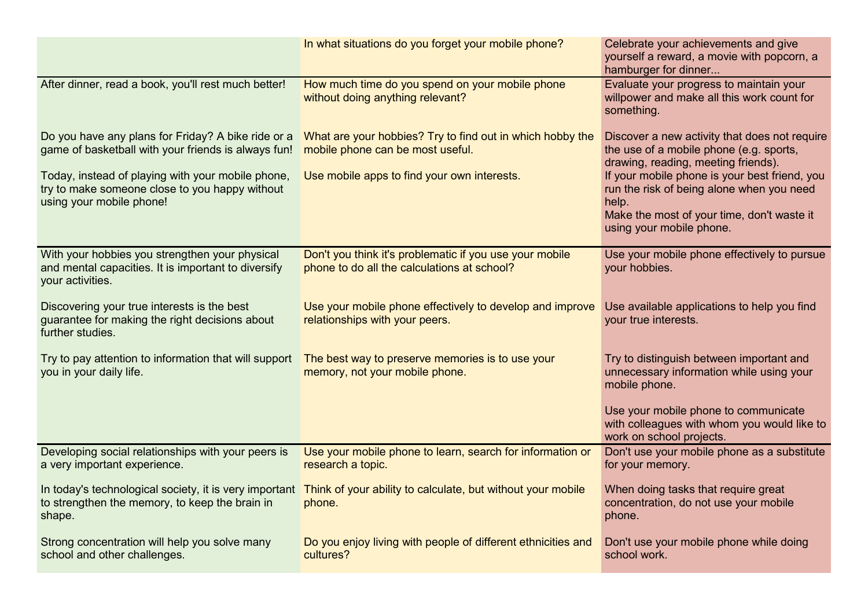|                                                                                                                                 | In what situations do you forget your mobile phone?                                                                          | Celebrate your achievements and give<br>yourself a reward, a movie with popcorn, a<br>hamburger for dinner                                                                    |
|---------------------------------------------------------------------------------------------------------------------------------|------------------------------------------------------------------------------------------------------------------------------|-------------------------------------------------------------------------------------------------------------------------------------------------------------------------------|
| After dinner, read a book, you'll rest much better!                                                                             | How much time do you spend on your mobile phone<br>without doing anything relevant?                                          | Evaluate your progress to maintain your<br>willpower and make all this work count for<br>something.                                                                           |
| Do you have any plans for Friday? A bike ride or a<br>game of basketball with your friends is always fun!                       | What are your hobbies? Try to find out in which hobby the<br>mobile phone can be most useful.                                | Discover a new activity that does not require<br>the use of a mobile phone (e.g. sports,<br>drawing, reading, meeting friends).                                               |
| Today, instead of playing with your mobile phone,<br>try to make someone close to you happy without<br>using your mobile phone! | Use mobile apps to find your own interests.                                                                                  | If your mobile phone is your best friend, you<br>run the risk of being alone when you need<br>help.<br>Make the most of your time, don't waste it<br>using your mobile phone. |
| With your hobbies you strengthen your physical<br>and mental capacities. It is important to diversify<br>your activities.       | Don't you think it's problematic if you use your mobile<br>phone to do all the calculations at school?                       | Use your mobile phone effectively to pursue<br>your hobbies.                                                                                                                  |
| Discovering your true interests is the best<br>guarantee for making the right decisions about<br>further studies.               | Use your mobile phone effectively to develop and improve<br>relationships with your peers.                                   | Use available applications to help you find<br>your true interests.                                                                                                           |
| Try to pay attention to information that will support<br>you in your daily life.                                                | The best way to preserve memories is to use your<br>memory, not your mobile phone.                                           | Try to distinguish between important and<br>unnecessary information while using your<br>mobile phone.                                                                         |
|                                                                                                                                 |                                                                                                                              | Use your mobile phone to communicate<br>with colleagues with whom you would like to<br>work on school projects.                                                               |
| Developing social relationships with your peers is<br>a very important experience.                                              | Use your mobile phone to learn, search for information or<br>research a topic.                                               | Don't use your mobile phone as a substitute<br>for your memory.                                                                                                               |
| to strengthen the memory, to keep the brain in<br>shape.                                                                        | In today's technological society, it is very important Think of your ability to calculate, but without your mobile<br>phone. | When doing tasks that require great<br>concentration, do not use your mobile<br>phone.                                                                                        |
| Strong concentration will help you solve many<br>school and other challenges.                                                   | Do you enjoy living with people of different ethnicities and<br>cultures?                                                    | Don't use your mobile phone while doing<br>school work.                                                                                                                       |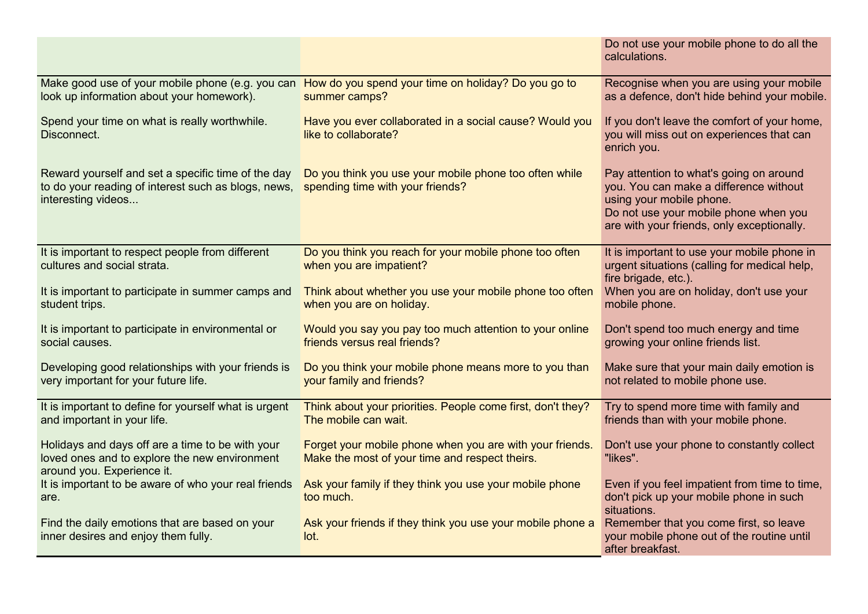|                                                                                                                                 |                                                                                                                       | Do not use your mobile phone to do all the<br>calculations.                                                                                                                                          |
|---------------------------------------------------------------------------------------------------------------------------------|-----------------------------------------------------------------------------------------------------------------------|------------------------------------------------------------------------------------------------------------------------------------------------------------------------------------------------------|
| look up information about your homework).                                                                                       | Make good use of your mobile phone (e.g. you can How do you spend your time on holiday? Do you go to<br>summer camps? | Recognise when you are using your mobile<br>as a defence, don't hide behind your mobile.                                                                                                             |
| Spend your time on what is really worthwhile.<br>Disconnect.                                                                    | Have you ever collaborated in a social cause? Would you<br>like to collaborate?                                       | If you don't leave the comfort of your home,<br>you will miss out on experiences that can<br>enrich you.                                                                                             |
| Reward yourself and set a specific time of the day<br>to do your reading of interest such as blogs, news,<br>interesting videos | Do you think you use your mobile phone too often while<br>spending time with your friends?                            | Pay attention to what's going on around<br>you. You can make a difference without<br>using your mobile phone.<br>Do not use your mobile phone when you<br>are with your friends, only exceptionally. |
| It is important to respect people from different<br>cultures and social strata.                                                 | Do you think you reach for your mobile phone too often<br>when you are impatient?                                     | It is important to use your mobile phone in<br>urgent situations (calling for medical help,<br>fire brigade, etc.).                                                                                  |
| It is important to participate in summer camps and<br>student trips.                                                            | Think about whether you use your mobile phone too often<br>when you are on holiday.                                   | When you are on holiday, don't use your<br>mobile phone.                                                                                                                                             |
| It is important to participate in environmental or<br>social causes.                                                            | Would you say you pay too much attention to your online<br>friends versus real friends?                               | Don't spend too much energy and time<br>growing your online friends list.                                                                                                                            |
| Developing good relationships with your friends is<br>very important for your future life.                                      | Do you think your mobile phone means more to you than<br>your family and friends?                                     | Make sure that your main daily emotion is<br>not related to mobile phone use.                                                                                                                        |
| It is important to define for yourself what is urgent<br>and important in your life.                                            | Think about your priorities. People come first, don't they?<br>The mobile can wait.                                   | Try to spend more time with family and<br>friends than with your mobile phone.                                                                                                                       |
| Holidays and days off are a time to be with your<br>loved ones and to explore the new environment<br>around you. Experience it. | Forget your mobile phone when you are with your friends.<br>Make the most of your time and respect theirs.            | Don't use your phone to constantly collect<br>"likes".                                                                                                                                               |
| It is important to be aware of who your real friends<br>are.                                                                    | Ask your family if they think you use your mobile phone<br>too much.                                                  | Even if you feel impatient from time to time,<br>don't pick up your mobile phone in such<br>situations.                                                                                              |
| Find the daily emotions that are based on your<br>inner desires and enjoy them fully.                                           | Ask your friends if they think you use your mobile phone a<br>lot.                                                    | Remember that you come first, so leave<br>your mobile phone out of the routine until<br>after breakfast.                                                                                             |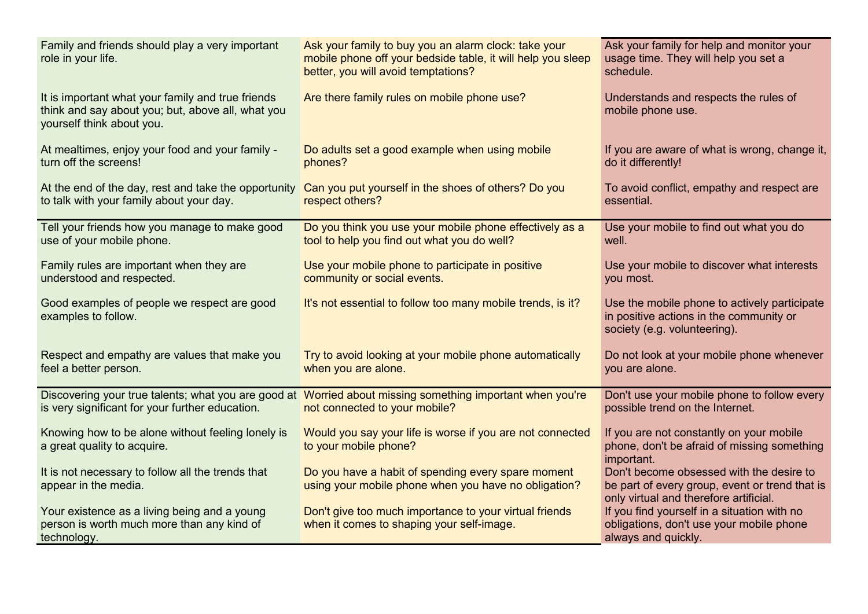| Family and friends should play a very important<br>role in your life.                                                               | Ask your family to buy you an alarm clock: take your<br>mobile phone off your bedside table, it will help you sleep<br>better, you will avoid temptations? | Ask your family for help and monitor your<br>usage time. They will help you set a<br>schedule.                                       |
|-------------------------------------------------------------------------------------------------------------------------------------|------------------------------------------------------------------------------------------------------------------------------------------------------------|--------------------------------------------------------------------------------------------------------------------------------------|
| It is important what your family and true friends<br>think and say about you; but, above all, what you<br>yourself think about you. | Are there family rules on mobile phone use?                                                                                                                | Understands and respects the rules of<br>mobile phone use.                                                                           |
| At mealtimes, enjoy your food and your family -<br>turn off the screens!                                                            | Do adults set a good example when using mobile<br>phones?                                                                                                  | If you are aware of what is wrong, change it,<br>do it differently!                                                                  |
| At the end of the day, rest and take the opportunity<br>to talk with your family about your day.                                    | Can you put yourself in the shoes of others? Do you<br>respect others?                                                                                     | To avoid conflict, empathy and respect are<br>essential.                                                                             |
| Tell your friends how you manage to make good<br>use of your mobile phone.                                                          | Do you think you use your mobile phone effectively as a<br>tool to help you find out what you do well?                                                     | Use your mobile to find out what you do<br>well.                                                                                     |
| Family rules are important when they are<br>understood and respected.                                                               | Use your mobile phone to participate in positive<br>community or social events.                                                                            | Use your mobile to discover what interests<br>you most.                                                                              |
| Good examples of people we respect are good<br>examples to follow.                                                                  | It's not essential to follow too many mobile trends, is it?                                                                                                | Use the mobile phone to actively participate<br>in positive actions in the community or<br>society (e.g. volunteering).              |
| Respect and empathy are values that make you<br>feel a better person.                                                               | Try to avoid looking at your mobile phone automatically<br>when you are alone.                                                                             | Do not look at your mobile phone whenever<br>you are alone.                                                                          |
| is very significant for your further education.                                                                                     | Discovering your true talents; what you are good at Worried about missing something important when you're<br>not connected to your mobile?                 | Don't use your mobile phone to follow every<br>possible trend on the Internet.                                                       |
| Knowing how to be alone without feeling lonely is<br>a great quality to acquire.                                                    | Would you say your life is worse if you are not connected<br>to your mobile phone?                                                                         | If you are not constantly on your mobile<br>phone, don't be afraid of missing something<br>important.                                |
| It is not necessary to follow all the trends that<br>appear in the media.                                                           | Do you have a habit of spending every spare moment<br>using your mobile phone when you have no obligation?                                                 | Don't become obsessed with the desire to<br>be part of every group, event or trend that is<br>only virtual and therefore artificial. |
| Your existence as a living being and a young<br>person is worth much more than any kind of<br>technology.                           | Don't give too much importance to your virtual friends<br>when it comes to shaping your self-image.                                                        | If you find yourself in a situation with no<br>obligations, don't use your mobile phone<br>always and quickly.                       |